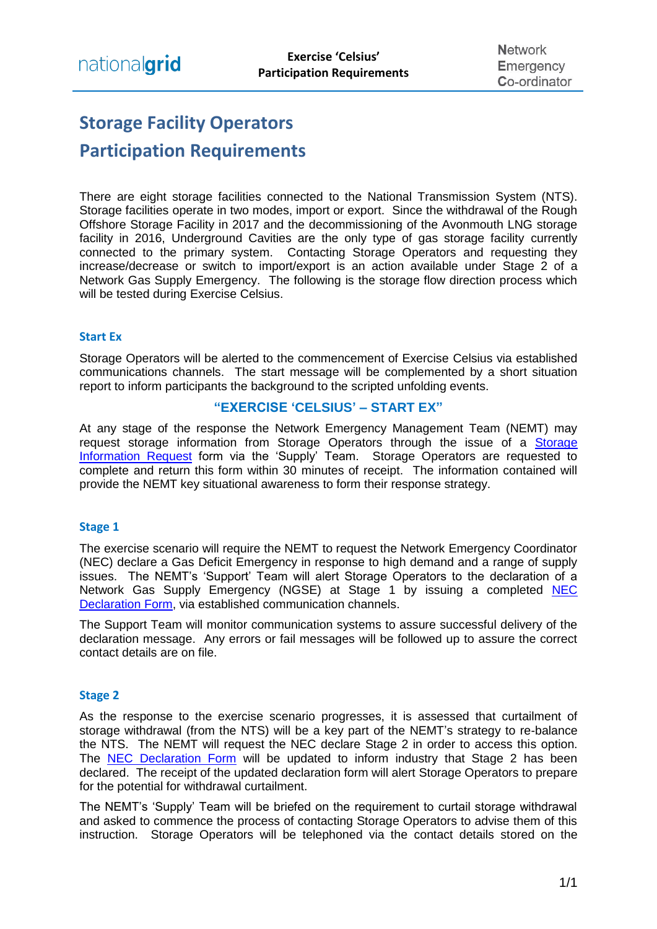# **Storage Facility Operators Participation Requirements**

There are eight storage facilities connected to the National Transmission System (NTS). Storage facilities operate in two modes, import or export. Since the withdrawal of the Rough Offshore Storage Facility in 2017 and the decommissioning of the Avonmouth LNG storage facility in 2016, Underground Cavities are the only type of gas storage facility currently connected to the primary system. Contacting Storage Operators and requesting they increase/decrease or switch to import/export is an action available under Stage 2 of a Network Gas Supply Emergency. The following is the storage flow direction process which will be tested during Exercise Celsius.

## **Start Ex**

Storage Operators will be alerted to the commencement of Exercise Celsius via established communications channels. The start message will be complemented by a short situation report to inform participants the background to the scripted unfolding events.

# **"EXERCISE 'CELSIUS' – START EX"**

At any stage of the response the Network Emergency Management Team (NEMT) may request storage information from Storage Operators through the issue of a [Storage](https://www.nationalgrid.com/sites/default/files/documents/40491-Storage%20Information%20Request%20Form.pdf)  [Information Request](https://www.nationalgrid.com/sites/default/files/documents/40491-Storage%20Information%20Request%20Form.pdf) form via the 'Supply' Team. Storage Operators are requested to complete and return this form within 30 minutes of receipt. The information contained will provide the NEMT key situational awareness to form their response strategy.

#### **Stage 1**

The exercise scenario will require the NEMT to request the Network Emergency Coordinator (NEC) declare a Gas Deficit Emergency in response to high demand and a range of supply issues. The NEMT's 'Support' Team will alert Storage Operators to the declaration of a Network Gas Supply Emergency (NGSE) at Stage 1 by issuing a completed [NEC](https://www.nationalgrid.com/sites/default/files/documents/40493-NEC%20Declaration%20or%20industry%20update%20form.pdf)  [Declaration Form,](https://www.nationalgrid.com/sites/default/files/documents/40493-NEC%20Declaration%20or%20industry%20update%20form.pdf) via established communication channels.

The Support Team will monitor communication systems to assure successful delivery of the declaration message. Any errors or fail messages will be followed up to assure the correct contact details are on file.

## **Stage 2**

As the response to the exercise scenario progresses, it is assessed that curtailment of storage withdrawal (from the NTS) will be a key part of the NEMT's strategy to re-balance the NTS. The NEMT will request the NEC declare Stage 2 in order to access this option. The [NEC Declaration Form](https://www.nationalgrid.com/sites/default/files/documents/40493-NEC%20Declaration%20or%20industry%20update%20form.pdf) will be updated to inform industry that Stage 2 has been declared. The receipt of the updated declaration form will alert Storage Operators to prepare for the potential for withdrawal curtailment.

The NEMT's 'Supply' Team will be briefed on the requirement to curtail storage withdrawal and asked to commence the process of contacting Storage Operators to advise them of this instruction. Storage Operators will be telephoned via the contact details stored on the